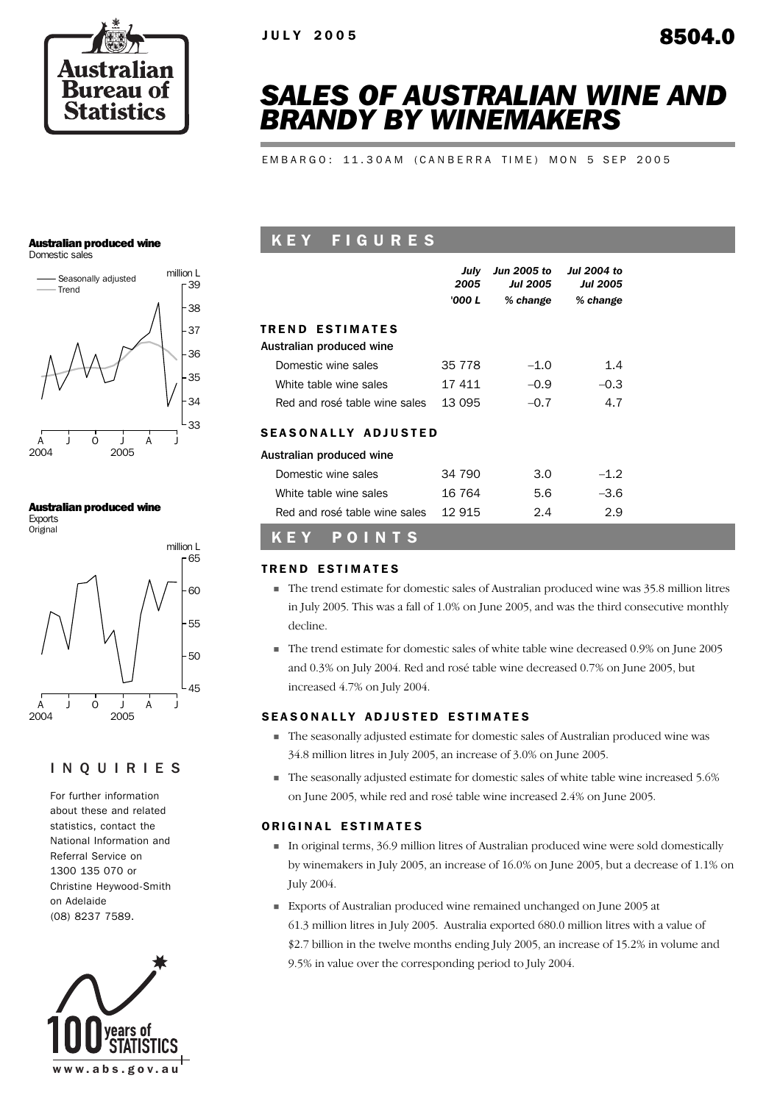

# *SALES OF AUSTRALIAN WINE AND BRANDY BY WINEMAKERS*

EMBARGO: 11.30AM (CANBERRA TIME) MON 5 SEP 2005

### Australian produced wine

Domestic sales



### Australian produced wine

Exports **Original** 



### INQUIRIES

For further information about these and related statistics, contact the National Information and Referral Service on 1300 135 070 or Christine Heywood-Smith on Adelaide (08) 8237 7589.



## K E Y F I G U R E S

|                               | July<br>2005<br>'000 L | Jun 2005 to<br><b>Jul 2005</b><br>% change | Jul 2004 to<br><b>Jul 2005</b><br>% change |
|-------------------------------|------------------------|--------------------------------------------|--------------------------------------------|
| <b>TREND ESTIMATES</b>        |                        |                                            |                                            |
| Australian produced wine      |                        |                                            |                                            |
| Domestic wine sales           | 35 7 7 8               | $-1.0$                                     | 1.4                                        |
| White table wine sales        | 17 411                 | $-0.9$                                     | $-0.3$                                     |
| Red and rosé table wine sales | 13 095                 | $-0.7$                                     | 4.7                                        |
| <b>SEASONALLY ADJUSTED</b>    |                        |                                            |                                            |
| Australian produced wine      |                        |                                            |                                            |
| Domestic wine sales           | 34 790                 | 3.0                                        | $-1.2$                                     |
| White table wine sales        | 16 764                 | 5.6                                        | -3.6                                       |
| Red and rosé table wine sales | 12 915                 | 2.4                                        | 2.9                                        |

## K E Y P O I N T S

### TREND ESTIMATES

- ! The trend estimate for domestic sales of Australian produced wine was 35.8 million litres in July 2005. This was a fall of 1.0% on June 2005, and was the third consecutive monthly decline.
- ! The trend estimate for domestic sales of white table wine decreased 0.9% on June 2005 and 0.3% on July 2004. Red and rosé table wine decreased 0.7% on June 2005, but increased 4.7% on July 2004.

### SEASONALLY ADJUSTED ESTIMATES

- ! The seasonally adjusted estimate for domestic sales of Australian produced wine was 34.8 million litres in July 2005, an increase of 3.0% on June 2005.
- ! The seasonally adjusted estimate for domestic sales of white table wine increased 5.6% on June 2005, while red and rosé table wine increased 2.4% on June 2005.

### ORIGINAL ESTIMATES

- ! In original terms, 36.9 million litres of Australian produced wine were sold domestically by winemakers in July 2005, an increase of 16.0% on June 2005, but a decrease of 1.1% on July 2004.
- ! Exports of Australian produced wine remained unchanged on June 2005 at 61.3 million litres in July 2005. Australia exported 680.0 million litres with a value of \$2.7 billion in the twelve months ending July 2005, an increase of 15.2% in volume and 9.5% in value over the corresponding period to July 2004.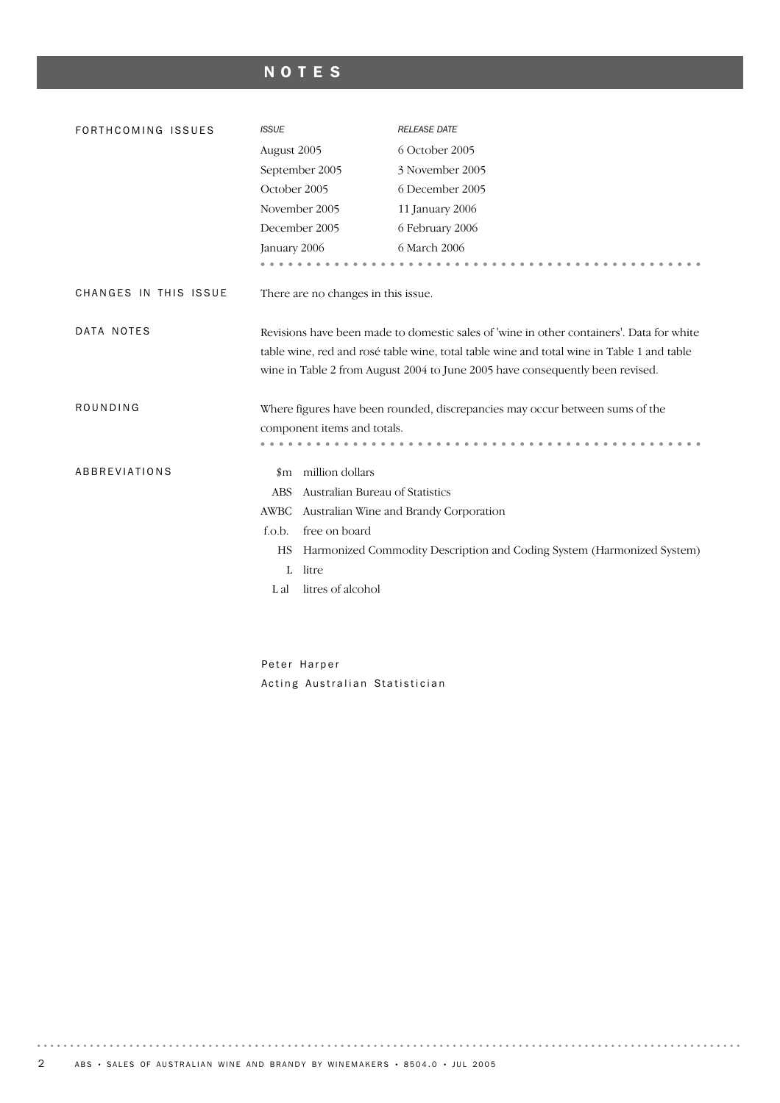## NOTES

| FORTHCOMING ISSUES    | <b>ISSUE</b>                                                                                                                                                                                                                                                           | <b>RELEASE DATE</b>                                                          |  |  |
|-----------------------|------------------------------------------------------------------------------------------------------------------------------------------------------------------------------------------------------------------------------------------------------------------------|------------------------------------------------------------------------------|--|--|
|                       | August 2005                                                                                                                                                                                                                                                            | 6 October 2005                                                               |  |  |
|                       | September 2005                                                                                                                                                                                                                                                         | 3 November 2005                                                              |  |  |
|                       | October 2005                                                                                                                                                                                                                                                           | 6 December 2005                                                              |  |  |
|                       | November 2005                                                                                                                                                                                                                                                          | 11 January 2006                                                              |  |  |
|                       | December 2005                                                                                                                                                                                                                                                          | 6 February 2006                                                              |  |  |
|                       | January 2006                                                                                                                                                                                                                                                           | 6 March 2006                                                                 |  |  |
|                       |                                                                                                                                                                                                                                                                        |                                                                              |  |  |
| CHANGES IN THIS ISSUE | There are no changes in this issue.                                                                                                                                                                                                                                    |                                                                              |  |  |
| DATA NOTES            | Revisions have been made to domestic sales of 'wine in other containers'. Data for white<br>table wine, red and rosé table wine, total table wine and total wine in Table 1 and table<br>wine in Table 2 from August 2004 to June 2005 have consequently been revised. |                                                                              |  |  |
| ROUNDING              |                                                                                                                                                                                                                                                                        | Where figures have been rounded, discrepancies may occur between sums of the |  |  |
|                       | component items and totals.                                                                                                                                                                                                                                            |                                                                              |  |  |
|                       |                                                                                                                                                                                                                                                                        |                                                                              |  |  |
| ABBREVIATIONS         | million dollars<br>$\,\mathrm{m}$                                                                                                                                                                                                                                      |                                                                              |  |  |
|                       | Australian Bureau of Statistics<br><b>ABS</b>                                                                                                                                                                                                                          |                                                                              |  |  |
|                       | <b>AWBC</b>                                                                                                                                                                                                                                                            | Australian Wine and Brandy Corporation                                       |  |  |
|                       | free on board<br>f.o.b.                                                                                                                                                                                                                                                |                                                                              |  |  |
|                       | HS                                                                                                                                                                                                                                                                     | Harmonized Commodity Description and Coding System (Harmonized System)       |  |  |
|                       | litre<br>L                                                                                                                                                                                                                                                             |                                                                              |  |  |
|                       | litres of alcohol<br>L al                                                                                                                                                                                                                                              |                                                                              |  |  |

Peter Harper Acting Australian Statistician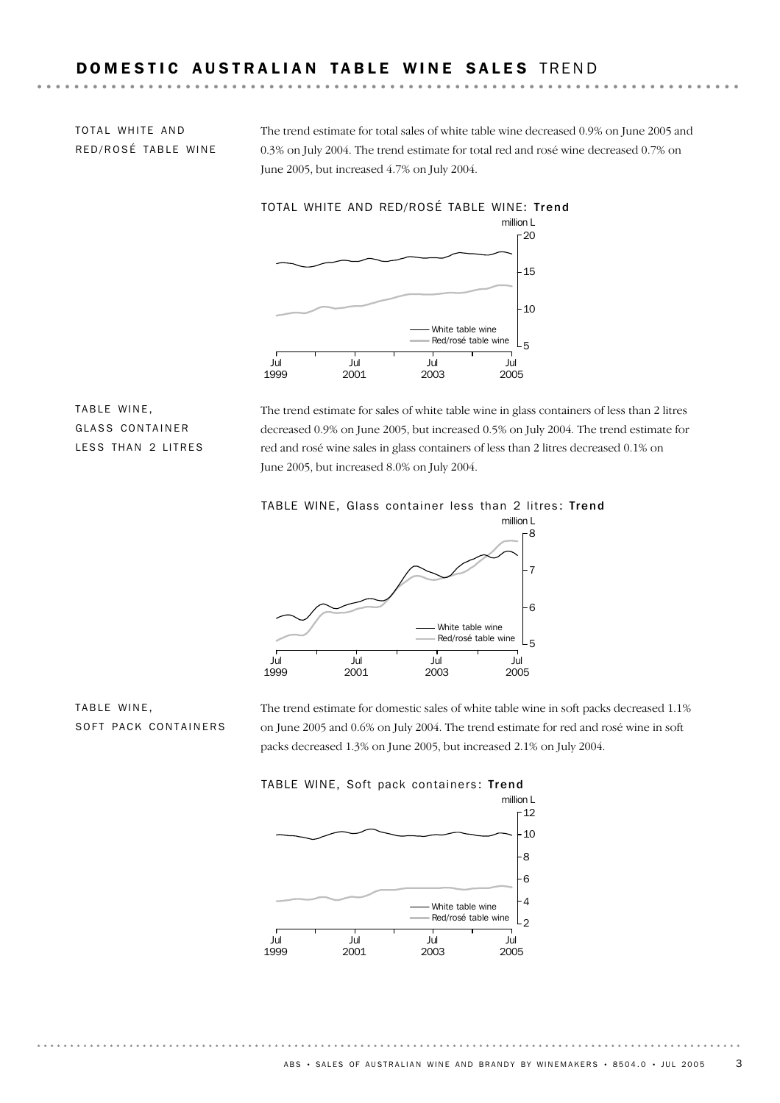### DOMESTIC AUSTRALIAN TABLE WINE SALES TREND

TOTAL WHITE AND RED/ROSÉ TABLE WINE The trend estimate for total sales of white table wine decreased 0.9% on June 2005 and 0.3% on July 2004. The trend estimate for total red and rosé wine decreased 0.7% on June 2005, but increased 4.7% on July 2004.



TABLE WINE, GLASS CONTAINER LESS THAN 2 LITRES

The trend estimate for sales of white table wine in glass containers of less than 2 litres decreased 0.9% on June 2005, but increased 0.5% on July 2004. The trend estimate for red and rosé wine sales in glass containers of less than 2 litres decreased 0.1% on June 2005, but increased 8.0% on July 2004.

### TABLE WINE, Glass container less than 2 litres: Trend



TABLE WINE, SOFT PACK CONTAINERS The trend estimate for domestic sales of white table wine in soft packs decreased 1.1% on June 2005 and 0.6% on July 2004. The trend estimate for red and rosé wine in soft packs decreased 1.3% on June 2005, but increased 2.1% on July 2004.



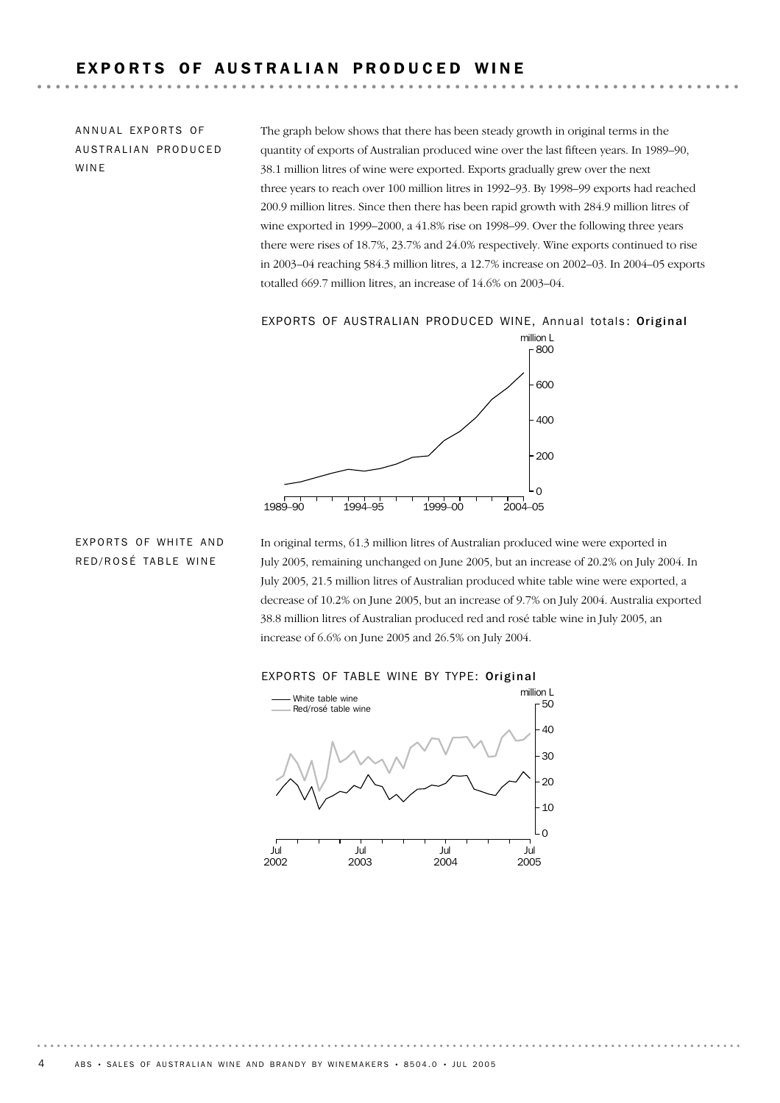## EXPORTS OF AUSTRALIAN PRODUCED WINE

ANNUAL EXPORTS OF AUSTRALIAN PRODUCED WINE

The graph below shows that there has been steady growth in original terms in the quantity of exports of Australian produced wine over the last fifteen years. In 1989–90, 38.1 million litres of wine were exported. Exports gradually grew over the next three years to reach over 100 million litres in 1992–93. By 1998–99 exports had reached 200.9 million litres. Since then there has been rapid growth with 284.9 million litres of wine exported in 1999–2000, a 41.8% rise on 1998–99. Over the following three years there were rises of 18.7%, 23.7% and 24.0% respectively. Wine exports continued to rise in 2003–04 reaching 584.3 million litres, a 12.7% increase on 2002–03. In 2004–05 exports totalled 669.7 million litres, an increase of 14.6% on 2003–04.

EXPORTS OF AUSTRALIAN PRODUCED WINE, Annual totals: Original



EXPORTS OF WHITE AND RED/ROSÉ TABLE WINE

In original terms, 61.3 million litres of Australian produced wine were exported in July 2005, remaining unchanged on June 2005, but an increase of 20.2% on July 2004. In July 2005, 21.5 million litres of Australian produced white table wine were exported, a decrease of 10.2% on June 2005, but an increase of 9.7% on July 2004. Australia exported 38.8 million litres of Australian produced red and rosé table wine in July 2005, an increase of 6.6% on June 2005 and 26.5% on July 2004.



### EXPORTS OF TABLE WINE BY TYPE: Original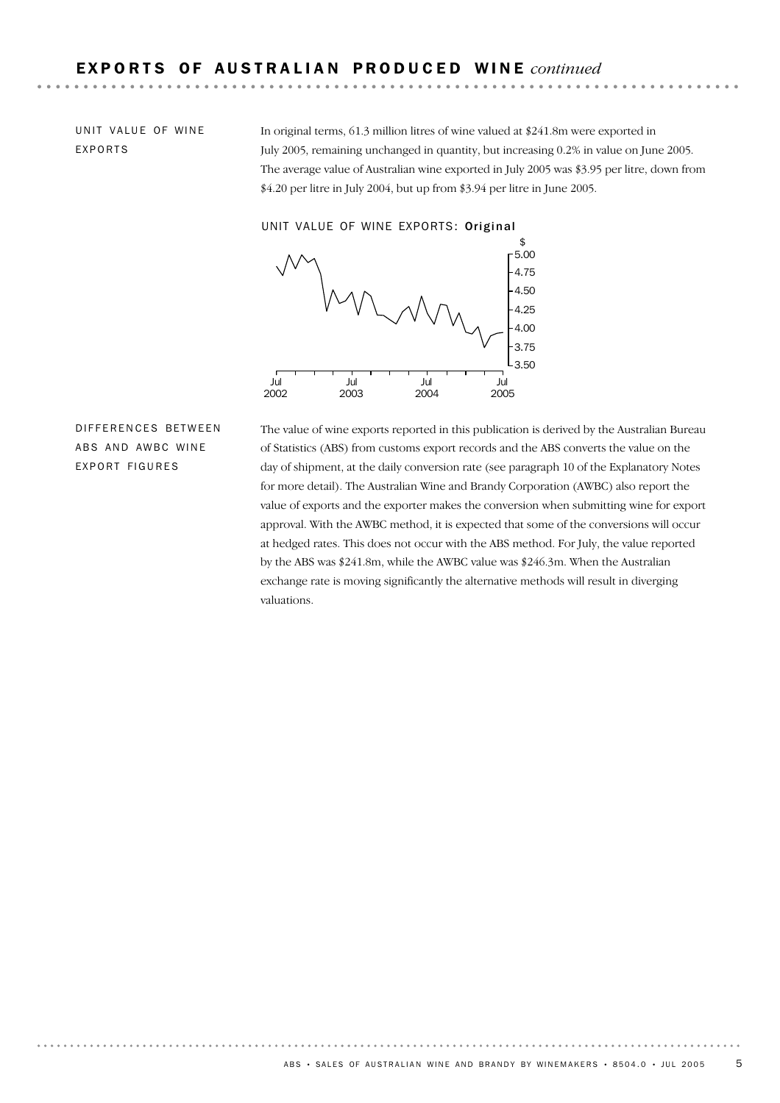UNIT VALUE OF WINE EXPORTS

In original terms, 61.3 million litres of wine valued at \$241.8m were exported in July 2005, remaining unchanged in quantity, but increasing 0.2% in value on June 2005. The average value of Australian wine exported in July 2005 was \$3.95 per litre, down from \$4.20 per litre in July 2004, but up from \$3.94 per litre in June 2005.

UNIT VALUE OF WINE EXPORTS: Original



DIFFERENCES BETWEEN ABS AND AWBC WINE EXPORT FIGURES

The value of wine exports reported in this publication is derived by the Australian Bureau of Statistics (ABS) from customs export records and the ABS converts the value on the day of shipment, at the daily conversion rate (see paragraph 10 of the Explanatory Notes for more detail). The Australian Wine and Brandy Corporation (AWBC) also report the value of exports and the exporter makes the conversion when submitting wine for export approval. With the AWBC method, it is expected that some of the conversions will occur at hedged rates. This does not occur with the ABS method. For July, the value reported by the ABS was \$241.8m, while the AWBC value was \$246.3m. When the Australian exchange rate is moving significantly the alternative methods will result in diverging valuations.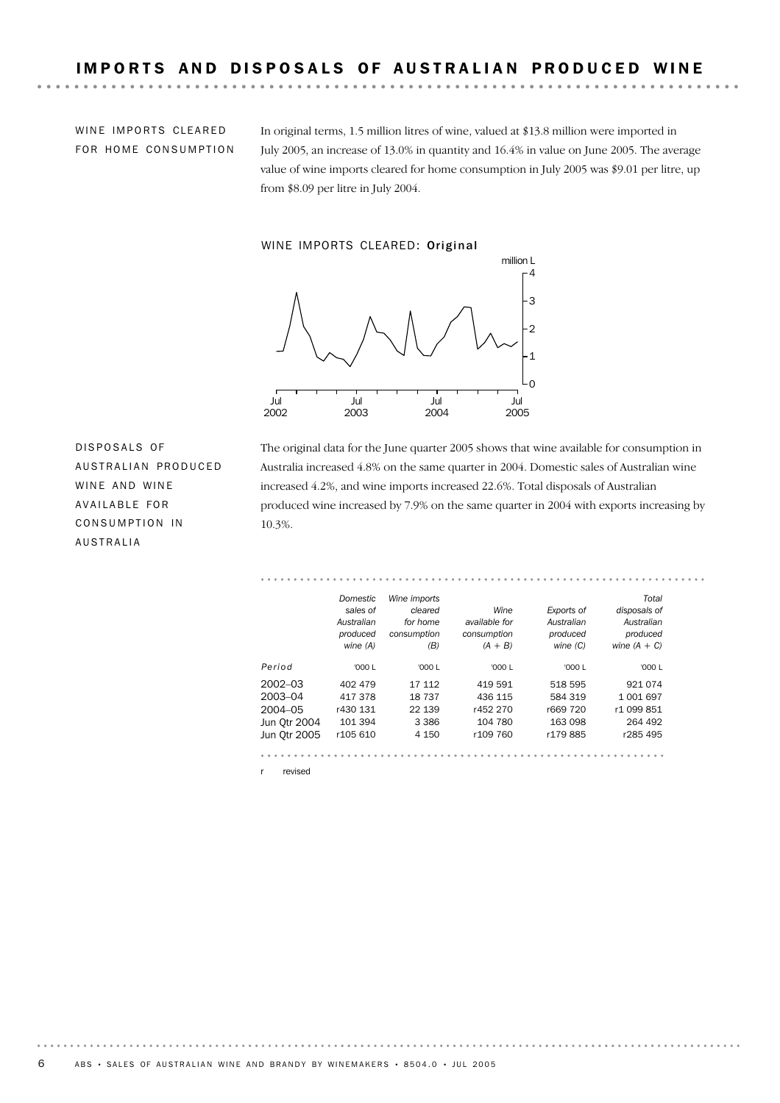WINE IMPORTS CLEARED FOR HOME CONSUMPTION In original terms, 1.5 million litres of wine, valued at \$13.8 million were imported in July 2005, an increase of 13.0% in quantity and 16.4% in value on June 2005. The average value of wine imports cleared for home consumption in July 2005 was \$9.01 per litre, up from \$8.09 per litre in July 2004.

. . . . . .

. . . . . . . . . .

### WINE IMPORTS CLEARED: Original



DISPOSALS OF AUSTRALIAN PRODUCED WINE AND WINE AVAILABLE FOR CONSUMPTION IN AUSTRALIA

The original data for the June quarter 2005 shows that wine available for consumption in Australia increased 4.8% on the same quarter in 2004. Domestic sales of Australian wine increased 4.2%, and wine imports increased 22.6%. Total disposals of Australian produced wine increased by 7.9% on the same quarter in 2004 with exports increasing by 10.3%.

#### . . . . . . . *Domestic Wine imports Total sales of cleared Wine Exports of disposals of Australian available for Australian Australian for home produced consumption consumption produced produced wine (A) (B) (A + B) wine (C) wine (A + C) Period* '000 L '000 L '000 L '000 L '000 L 2002–03 402 479 17 112 419 591 518 595 921 074 2003–04 417 378 18 737 436 115 584 319 1 001 697 2004–05 r430 131 22 139 r452 270 r669 720 r1 099 851 Jun Qtr 2004 101 394 3 386 104 780 163 098 264 492 Jun Qtr 2005 r105 610 4 150 r109 760 r179 885 r285 495

r revised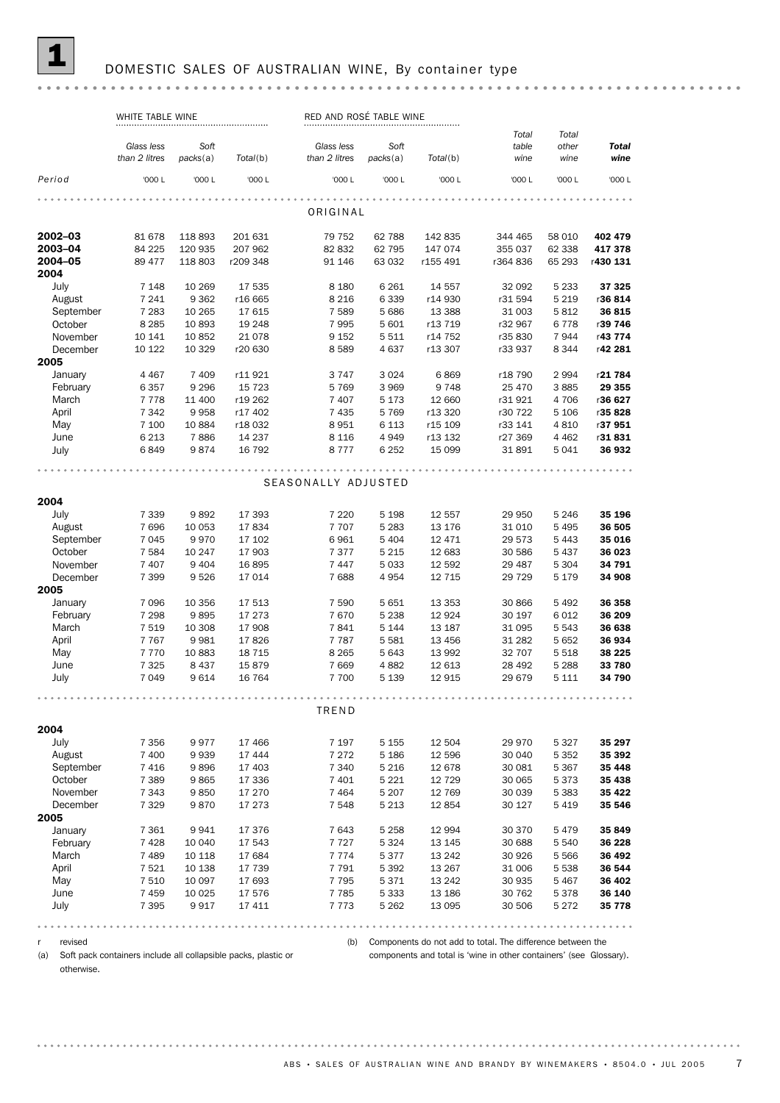### DOMESTIC SALES OF AUSTRALIAN WINE, By container type

### WHITE TABLE WINE RED AND ROSÉ TABLE WINE *Total Total Glass less Soft Glass less Soft table other Total Total*(b) *packs*(a) *than 2 litres packs*(a) *Total*(b) *than 2 litres wine wine wine Period* '000 L '000 L '000 L '000 L '000 L '000 L '000 L '000 L '000 L ORIGINAL 2003–04 84 225 120 335 207 962 832 62 795 142 835 344 465 58 010 402 479<br>2003–04 84 225 120 935 207 962 82 832 62 795 147 074 355 037 62 338 417 378<br>2004–05 89 477 118 803 r209 348 91 146 63 032 r155 491 r364 836 65 293 r **2002–03** 81 678 118 893 201 631 79 752 62 788 142 835 344 465 58 010 **402 479 2003–04** 84 225 120 935 207 962 832 62 795 147 074 355 037 62 338 **417 378** 2004 July 7 148 10 269 17 535 8 180 6 261 14 557 32 092 5 233 **37 325** August 7 241 9 362 r16 665 8 216 6 339 r14 930 r31 594 5 219 r36 814 September 7 283 10 265 17 615 7 589 5 686 13 388 31 003 5 812 36 815<br>October 8 285 10 893 19 248 7 995 5 601 r13 719 r32 967 6 778 r39 746 October 8 285 10 893 19 248 7 995 5 601 r13 719 r32 967 6 778 r**39 746** November 10 141 10 852 21 078 9 152 5 511 r14 752 r35 830 7 944 r**43 774** December 10 122 10 329 r20 630 8 589 4 637 r13 307 r33 937 8 344 r42 281 2005 January 4 467 7 409 r11 921 3 747 3 024 6 869 r18 790 2 994 r**21 784** February 6 357 9 296 15 723 5 769 3 969 9 748 25 470 3 885 **29 355** March 7 778 11 400 r19 262 7 407 5 173 12 660 r31 921 4 706 r**36 627** April 7 342 9 958 r17 402 7 435 5 769 r13 320 r30 722 5 106 r**35 828** 1911<br>
May 1972 1988 118 032 8951 6 113 115 109 133 141 4 810 137 951<br>
June 6 213 7 886 14 237 8 116 4 949 113 132 127 369 4 462 131 831 May 7 100 10 884 r18 032 8 951 6 113 r15 109 r33 141 4 810 r**37 951** July 6849 9874 16 792 8 777 6 252 15 099 31 891 5 041 36 932 SEASONALLY ADJUSTED 2004 July 7 339 9 892 17 393 7 220 5 198 12 557 29 950 5 246 **35 196** August 7 696 10 053 17 834 7 707 5 283 13 176 31 010 5 495 36 505 September 7 045 9 970 17 102 6 961 5 404 12 471 29 573 5 443 **35 016**<br>October 7 584 10 247 17 903 7 377 5 215 12 683 30 586 5 437 **36 023**<br>November 7 407 9 404 16 895 7 447 5 033 12 592 29 487 5 304 **34 791** 0ctober 7 584 10 247 17 903 7 377 5 215 12 683 30 586 5 437 **36 023** 0ctober (1984 10.24) 10.33 10.11 1900<br>November 7 407 9 404 16 895 7 447 5 033 12 592 29 487 5 304 **34 791**<br>December 7 399 9 526 17 014 7 688 4 954 12 715 29 729 5 179 **34 908** November 7 407 9 404 16 895 7 447 5 033 12 592 29 487 5 304 **34 791** 2005 January 7 096 10 356 17 513 7 590 5 651 13 353 30 866 5 492 36 358 February 7 298 9 895 17 273 7 670 5 238 12 924 30 197 6 012 36 209 March 7 519 10 308 17 908 7 841 5 144 13 187 31 095 5 543 36 638<br>April 7 767 9 981 17 826 7 787 5 581 13 456 31 282 5 652 36 934 April 7 767 9 981 17 826 7 787 5 581 13 456 31 282 5 652 **36 934** 1 101 5 301 11 020<br>May 7 770 10 883 18 715 8 8 265 5 643 13 992 32 707 5 518 **38 225**<br>June 7 325 8 437 15 879 7 669 4 882 12 613 28 492 5 288 **33 780** May 7 770 10 883 18 715 8 265 5 643 13 992 32 707 5 518 **38 225** July 7049 9614 16 764 7 700 5 139 12 915 29 679 5 111 34 790 TREND 2004 July 7356 9977 17 466 7 197 5 155 12 504 29 970 5 327 35 297 August 7 400 9 939 17 444 7 272 5 186 12 596 30 040 5 352 35 392 September 7 416 9 896 17 403 7 340 5 216 12 678 30 081 5 367 **35 448**<br>
October 7 389 9 865 17 336 7 401 5 221 12 729 30 065 5 373 **35 438**<br>
November 7 343 9 850 17 270 7 464 5 207 12 769 30 039 5 383 **35 422** December 7 329 9 870 17 273 7 548 5 213 12 854 30 127 5 419 35 546 0ctober 7 389 9 865 17 336 7 401 5 221 12 729 30 065 5 373 **35 438** November 7 343 9 850 17 270 7 464 5 207 12 769 30 039 5 383 35 422 2005 January 7 361 9 941 17 376 7 643 5 258 12 994 30 370 5 479 35 849 February 7 428 10 040 17 543 7 727 5 324 13 145 30 688 5 540 36 228 March 7 489 10 118 17 684 7 774 5 377 13 242 30 926 5 566 36 492<br>April 7 521 10 138 17 739 7 791 5 392 13 267 31 006 5 538 36 544 April 7 521 10 138 17 739 7 791 5 392 13 267 31 006 5 538 **36 544** May 7510 10 097 17 693 7795 5371 13 242 30 935 5 467 36 402 June 7 459 10 025 17 576 7 785 5 333 13 186 30 762 5 378 36 140 July 7 395 9 917 17 411 7 773 5 262 13 095 30 506 5 272 35 778

r revised

(b) Components do not add to total. The difference between the

(a) Soft pack containers include all collapsible packs, plastic or otherwise.

components and total is 'wine in other containers' (see Glossary).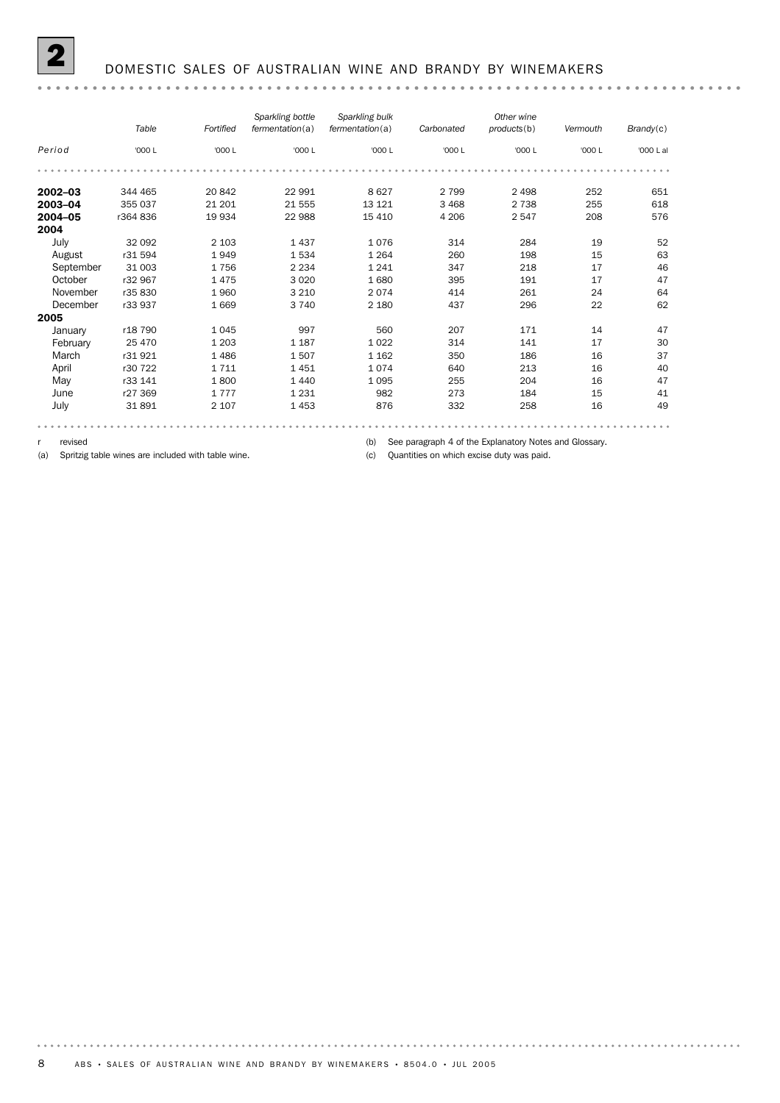|             | Table   | Fortified | Sparkling bottle<br>fermentation(a) | Sparkling bulk<br>fermentation(a) | Carbonated | Other wine<br>products(b) | Vermouth | Brandy(c) |
|-------------|---------|-----------|-------------------------------------|-----------------------------------|------------|---------------------------|----------|-----------|
| Period      | '000 L  | '000 L    | '000 L                              | '000 L                            | '000 L     | '000 L                    | '000 L   | '000 L al |
|             |         |           |                                     |                                   |            |                           |          |           |
| $2002 - 03$ | 344 465 | 20 842    | 22 991                              | 8627                              | 2 7 9 9    | 2 4 9 8                   | 252      | 651       |
| 2003-04     | 355 037 | 21 201    | 21 555                              | 13 121                            | 3 4 6 8    | 2 7 3 8                   | 255      | 618       |
| 2004-05     | r364836 | 19 934    | 22 988                              | 15 4 10                           | 4 2 0 6    | 2547                      | 208      | 576       |
| 2004        |         |           |                                     |                                   |            |                           |          |           |
| July        | 32 092  | 2 1 0 3   | 1437                                | 1076                              | 314        | 284                       | 19       | 52        |
| August      | r31 594 | 1949      | 1534                                | 1 2 6 4                           | 260        | 198                       | 15       | 63        |
| September   | 31 003  | 1756      | 2 2 3 4                             | 1 2 4 1                           | 347        | 218                       | 17       | 46        |
| October     | r32 967 | 1475      | 3 0 2 0                             | 1680                              | 395        | 191                       | 17       | 47        |
| November    | r35 830 | 1960      | 3 2 1 0                             | 2074                              | 414        | 261                       | 24       | 64        |
| December    | r33 937 | 1669      | 3 7 4 0                             | 2 1 8 0                           | 437        | 296                       | 22       | 62        |
| 2005        |         |           |                                     |                                   |            |                           |          |           |
| January     | r18 790 | 1045      | 997                                 | 560                               | 207        | 171                       | 14       | 47        |
| February    | 25 470  | 1 2 0 3   | 1 1 8 7                             | 1 0 2 2                           | 314        | 141                       | 17       | 30        |
| March       | r31921  | 1486      | 1507                                | 1 1 6 2                           | 350        | 186                       | 16       | 37        |
| April       | r30 722 | 1711      | 1451                                | 1074                              | 640        | 213                       | 16       | 40        |
| May         | r33 141 | 1800      | 1440                                | 1 0 9 5                           | 255        | 204                       | 16       | 47        |
| June        | r27 369 | 1777      | 1 2 3 1                             | 982                               | 273        | 184                       | 15       | 41        |
| July        | 31891   | 2 1 0 7   | 1453                                | 876                               | 332        | 258                       | 16       | 49        |
|             |         |           |                                     |                                   |            |                           |          |           |

r revised

(a) Spritzig table wines are included with table wine.

(b) See paragraph 4 of the Explanatory Notes and Glossary.

(c) Quantities on which excise duty was paid.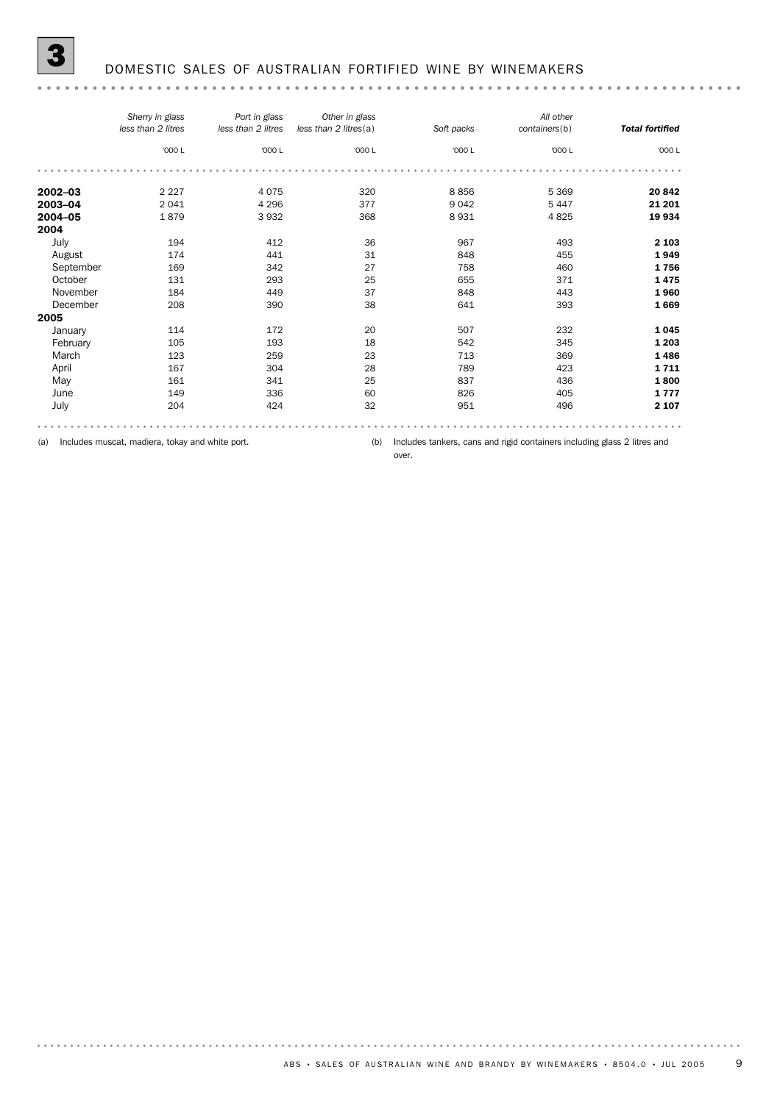| <b>Total fortified</b> | containers(b) | Soft packs | Other in glass<br>less than 2 litres(a) | Port in glass<br>less than 2 litres | Sherry in glass<br>less than 2 litres |           |
|------------------------|---------------|------------|-----------------------------------------|-------------------------------------|---------------------------------------|-----------|
| '000 L                 | '000 L        | '000 L     | '000 L                                  | '000 L                              | '000 L                                |           |
|                        |               |            |                                         |                                     |                                       |           |
| 20 842                 | 5 3 6 9       | 8856       | 320                                     | 4075                                | 2 2 2 7                               | 2002-03   |
| 21 201                 | 5 4 4 7       | 9 0 4 2    | 377                                     | 4 2 9 6                             | 2041                                  | 2003-04   |
| 19 934                 | 4825          | 8931       | 368                                     | 3932                                | 1879                                  | 2004-05   |
|                        |               |            |                                         |                                     |                                       | 2004      |
| 2 1 0 3                | 493           | 967        | 36                                      | 412                                 | 194                                   | July      |
| 1949                   | 455           | 848        | 31                                      | 441                                 | 174                                   | August    |
| 1756                   | 460           | 758        | 27                                      | 342                                 | 169                                   | September |
| 1475                   | 371           | 655        | 25                                      | 293                                 | 131                                   | October   |
| 1960                   | 443           | 848        | 37                                      | 449                                 | 184                                   | November  |
| 1669                   | 393           | 641        | 38                                      | 390                                 | 208                                   | December  |
|                        |               |            |                                         |                                     |                                       | 2005      |
| 1045                   | 232           | 507        | 20                                      | 172                                 | 114                                   | January   |
| 1 2 0 3                | 345           | 542        | 18                                      | 193                                 | 105                                   | February  |
| 1486                   | 369           | 713        | 23                                      | 259                                 | 123                                   | March     |
| 1711                   | 423           | 789        | 28                                      | 304                                 | 167                                   | April     |
| 1800                   | 436           | 837        | 25                                      | 341                                 | 161                                   | May       |
| 1777                   | 405           | 826        | 60                                      | 336                                 | 149                                   | June      |
| 2 1 0 7                | 496           | 951        | 32                                      | 424                                 | 204                                   | July      |

(a) Includes muscat, madiera, tokay and white port.

(b) Includes tankers, cans and rigid containers including glass 2 litres and

over.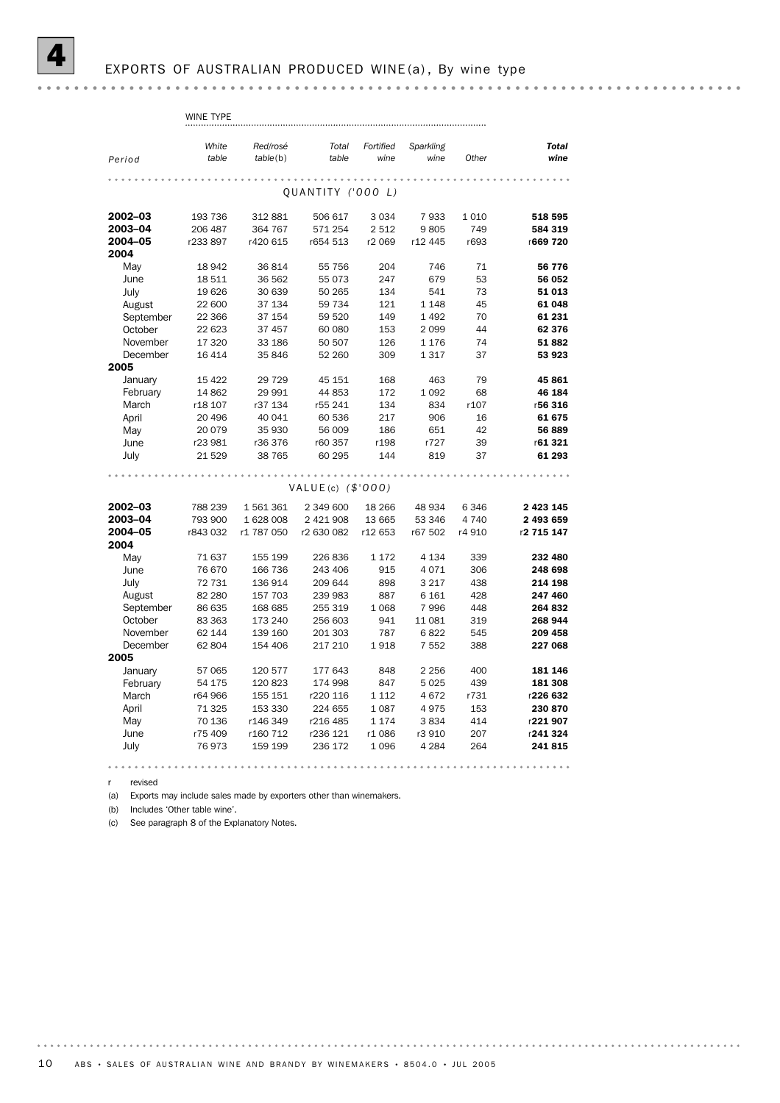r revised

(a) Exports may include sales made by exporters other than winemakers.

(b) Includes 'Other table wine'.

(c) See paragraph 8 of the Explanatory Notes.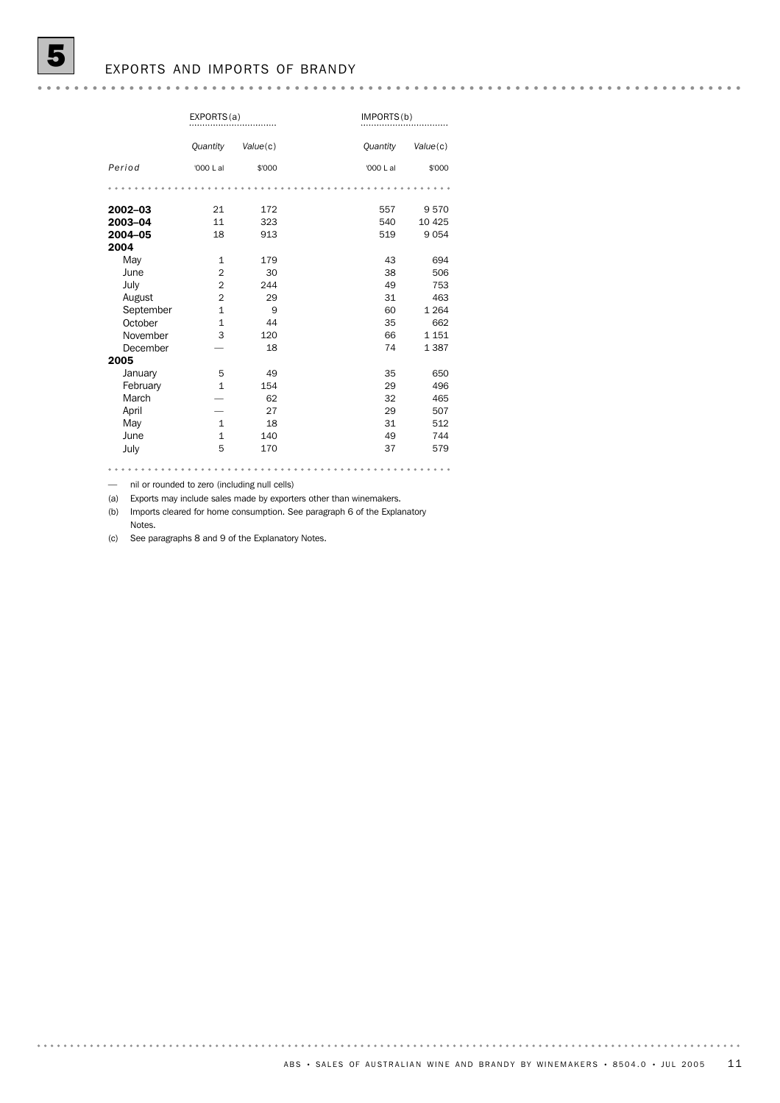### EXPORTS AND IMPORTS OF BRANDY

|           | EXPORTS(a)     |          |           | IMPORTS(b) |  |  |
|-----------|----------------|----------|-----------|------------|--|--|
|           | Quantity       | Value(c) | Quantity  | Value(c)   |  |  |
| Period    | '000 L al      | \$'000   | '000 L al | \$'000     |  |  |
|           |                |          |           |            |  |  |
| 2002-03   | 21             | 172      | 557       | 9570       |  |  |
| 2003-04   | 11             | 323      | 540       | 10 4 25    |  |  |
| 2004-05   | 18             | 913      | 519       | 9 0 5 4    |  |  |
| 2004      |                |          |           |            |  |  |
| May       | $\mathbf{1}$   | 179      | 43        | 694        |  |  |
| June      | $\overline{2}$ | 30       | 38        | 506        |  |  |
| July      | $\overline{2}$ | 244      | 49        | 753        |  |  |
| August    | $\overline{2}$ | 29       | 31        | 463        |  |  |
| September | $\mathbf{1}$   | 9        | 60        | 1 2 6 4    |  |  |
| October   | $\mathbf{1}$   | 44       | 35        | 662        |  |  |
| November  | 3              | 120      | 66        | 1 1 5 1    |  |  |
| December  |                | 18       | 74        | 1 3 8 7    |  |  |
| 2005      |                |          |           |            |  |  |
| January   | 5              | 49       | 35        | 650        |  |  |
| February  | $\mathbf{1}$   | 154      | 29        | 496        |  |  |
| March     |                | 62       | 32        | 465        |  |  |
| April     |                | 27       | 29        | 507        |  |  |
| May       | $\mathbf{1}$   | 18       | 31        | 512        |  |  |
| June      | $\mathbf{1}$   | 140      | 49        | 744        |  |  |
| July      | 5              | 170      | 37        | 579        |  |  |
|           |                |          |           |            |  |  |

— nil or rounded to zero (including null cells)

(a) Exports may include sales made by exporters other than winemakers.

(b) Imports cleared for home consumption. See paragraph 6 of the Explanatory Notes.

(c) See paragraphs 8 and 9 of the Explanatory Notes.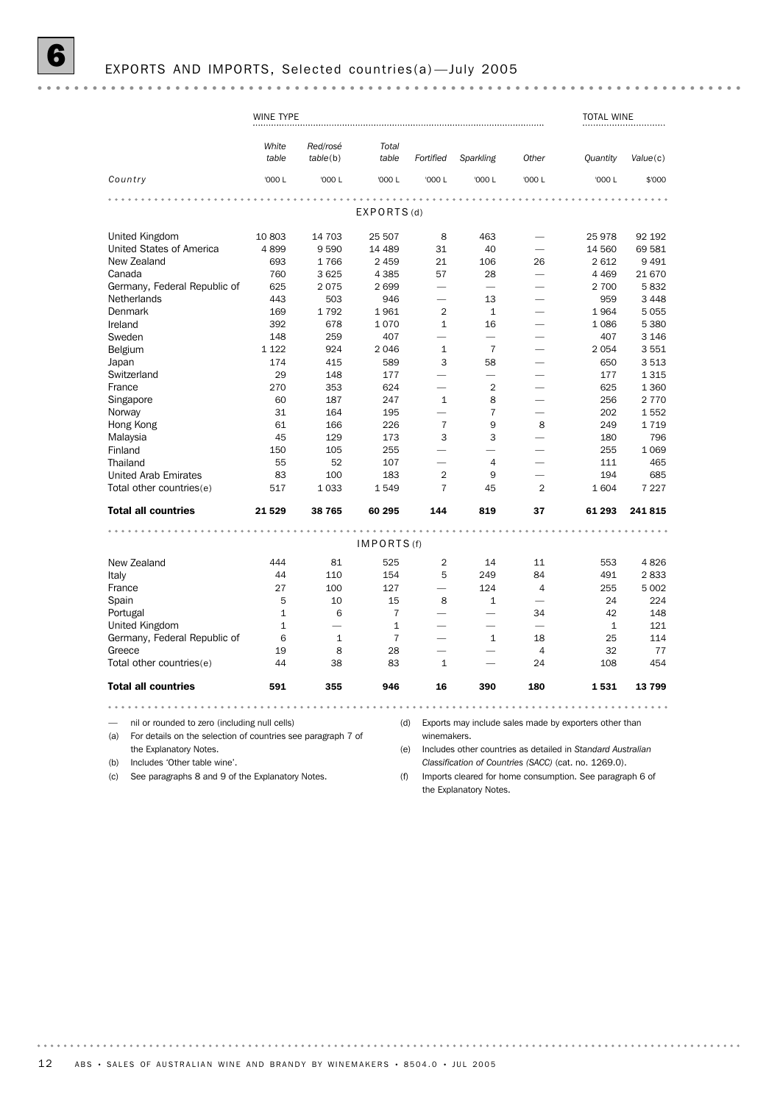## 6 EXPORTS AND IMPORTS, Selected countries(a) —July 2005

|                                                                     | WINE TYPE      |                          |                |                          |                          |                          | <b>TOTAL WINE</b>                                           |          |
|---------------------------------------------------------------------|----------------|--------------------------|----------------|--------------------------|--------------------------|--------------------------|-------------------------------------------------------------|----------|
|                                                                     | White<br>table | Red/rosé<br>table(b)     | Total<br>table | Fortified                | Sparkling                | Other                    | Quantity                                                    | Value(c) |
| Country                                                             | '000 L         | '000 L                   | '000 L         | '000 L                   | '000 L                   | '000 L                   | '000 L                                                      | \$'000   |
|                                                                     |                |                          |                |                          |                          |                          |                                                             |          |
|                                                                     |                |                          | EXPORTS(d)     |                          |                          |                          |                                                             |          |
| United Kingdom                                                      | 10 803         | 14 703                   | 25 507         | 8                        | 463                      |                          | 25978                                                       | 92 192   |
| United States of America                                            | 4899           | 9590                     | 14 489         | 31                       | 40                       |                          | 14 560                                                      | 69 581   |
| New Zealand                                                         | 693            | 1766                     | 2 4 5 9        | 21                       | 106                      | 26                       | 2 6 1 2                                                     | 9 4 9 1  |
| Canada                                                              | 760            | 3 6 25                   | 4 3 8 5        | 57                       | 28                       |                          | 4 4 6 9                                                     | 21 670   |
| Germany, Federal Republic of                                        | 625            | 2075                     | 2699           | $\overline{\phantom{0}}$ | ÷.                       |                          | 2 700                                                       | 5832     |
| Netherlands                                                         | 443            | 503                      | 946            |                          | 13                       |                          | 959                                                         | 3 4 4 8  |
| Denmark                                                             | 169            | 1792                     | 1961           | $\overline{2}$           | $\mathbf 1$              |                          | 1964                                                        | 5 0 5 5  |
| Ireland                                                             | 392            | 678                      | 1070           | $\mathbf{1}$             | 16                       |                          | 1 0 8 6                                                     | 5 3 8 0  |
|                                                                     |                |                          |                | $\overline{\phantom{0}}$ | $\overline{\phantom{0}}$ |                          |                                                             |          |
| Sweden                                                              | 148            | 259                      | 407            |                          |                          |                          | 407                                                         | 3 1 4 6  |
| Belgium                                                             | 1 1 2 2        | 924                      | 2046           | $\mathbf{1}$             | $\overline{7}$           | $\overline{\phantom{a}}$ | 2 0 5 4                                                     | 3551     |
| Japan                                                               | 174            | 415                      | 589            | 3                        | 58                       |                          | 650                                                         | 3513     |
| Switzerland                                                         | 29             | 148                      | 177            | $\overline{\phantom{0}}$ | $\overline{\phantom{0}}$ |                          | 177                                                         | 1 3 1 5  |
| France                                                              | 270            | 353                      | 624            | $\overline{\phantom{0}}$ | $\overline{2}$           | $\overline{\phantom{0}}$ | 625                                                         | 1 360    |
| Singapore                                                           | 60             | 187                      | 247            | $\mathbf{1}$             | 8                        | -                        | 256                                                         | 2 7 7 0  |
| Norway                                                              | 31             | 164                      | 195            | $\overline{\phantom{0}}$ | 7                        |                          | 202                                                         | 1552     |
| Hong Kong                                                           | 61             | 166                      | 226            | $\overline{7}$           | 9                        | 8                        | 249                                                         | 1719     |
| Malaysia                                                            | 45             | 129                      | 173            | 3                        | 3                        |                          | 180                                                         | 796      |
| Finland                                                             | 150            | 105                      | 255            |                          |                          |                          | 255                                                         | 1 0 6 9  |
| Thailand                                                            | 55             | 52                       | 107            | ÷.                       | $\overline{4}$           |                          | 111                                                         | 465      |
| <b>United Arab Emirates</b>                                         | 83             | 100                      | 183            | $\overline{2}$           | 9                        |                          | 194                                                         | 685      |
| Total other countries(e)                                            | 517            | 1033                     | 1549           | $\overline{7}$           | 45                       | $\overline{2}$           | 1 604                                                       | 7 2 2 7  |
| <b>Total all countries</b>                                          | 21 5 29        | 38 765                   | 60 295         | 144                      | 819                      | 37                       | 61 293                                                      | 241815   |
|                                                                     |                |                          |                |                          |                          |                          |                                                             |          |
|                                                                     |                |                          | IMPORTS (f)    |                          |                          |                          |                                                             |          |
| New Zealand                                                         | 444            | 81                       | 525            | $\overline{2}$           | 14                       | 11                       | 553                                                         | 4826     |
| Italy                                                               | 44             | 110                      | 154            | 5                        | 249                      | 84                       | 491                                                         | 2833     |
| France                                                              | 27             | 100                      | 127            |                          | 124                      | 4                        | 255                                                         | 5 0 0 2  |
| Spain                                                               | 5              | 10                       | 15             | 8                        | $\mathbf{1}$             | $\overline{\phantom{0}}$ | 24                                                          | 224      |
| Portugal                                                            | $\mathbf{1}$   | 6                        | $\overline{7}$ |                          | -                        | 34                       | 42                                                          | 148      |
| United Kingdom                                                      | $\mathbf{1}$   | $\overline{\phantom{0}}$ | $\mathbf{1}$   |                          | -                        | $\overline{\phantom{0}}$ | $\mathbf{1}$                                                | 121      |
| Germany, Federal Republic of                                        | 6              | $\mathbf{1}$             | $\overline{7}$ |                          | $\mathbf{1}$             | 18                       | 25                                                          | 114      |
| Greece                                                              | 19             | 8                        | 28             |                          |                          | $\overline{4}$           | 32                                                          | 77       |
| Total other countries(e)                                            | 44             | 38                       | 83             | $\mathbf{1}$             |                          | 24                       | 108                                                         | 454      |
| <b>Total all countries</b>                                          | 591            | 355                      | 946            | 16                       | 390                      | 180                      | 1531                                                        | 13799    |
|                                                                     |                | $-0.00$                  |                |                          |                          | $\sim$                   |                                                             |          |
|                                                                     |                |                          |                |                          |                          |                          |                                                             |          |
| nil or rounded to zero (including null cells)                       |                |                          | (d)            |                          |                          |                          | Exports may include sales made by exporters other than      |          |
| (a)<br>For details on the selection of countries see paragraph 7 of |                |                          |                | winemakers.              |                          |                          |                                                             |          |
| the Explanatory Notes.                                              |                |                          | (e)            |                          |                          |                          | Includes other countries as detailed in Standard Australian |          |

(b) Includes 'Other table wine'.

(c) See paragraphs 8 and 9 of the Explanatory Notes.

(e) Includes other countries as detailed in *Standard Australian Classification of Countries (SACC)* (cat. no. 1269.0).

(f) Imports cleared for home consumption. See paragraph 6 of the Explanatory Notes.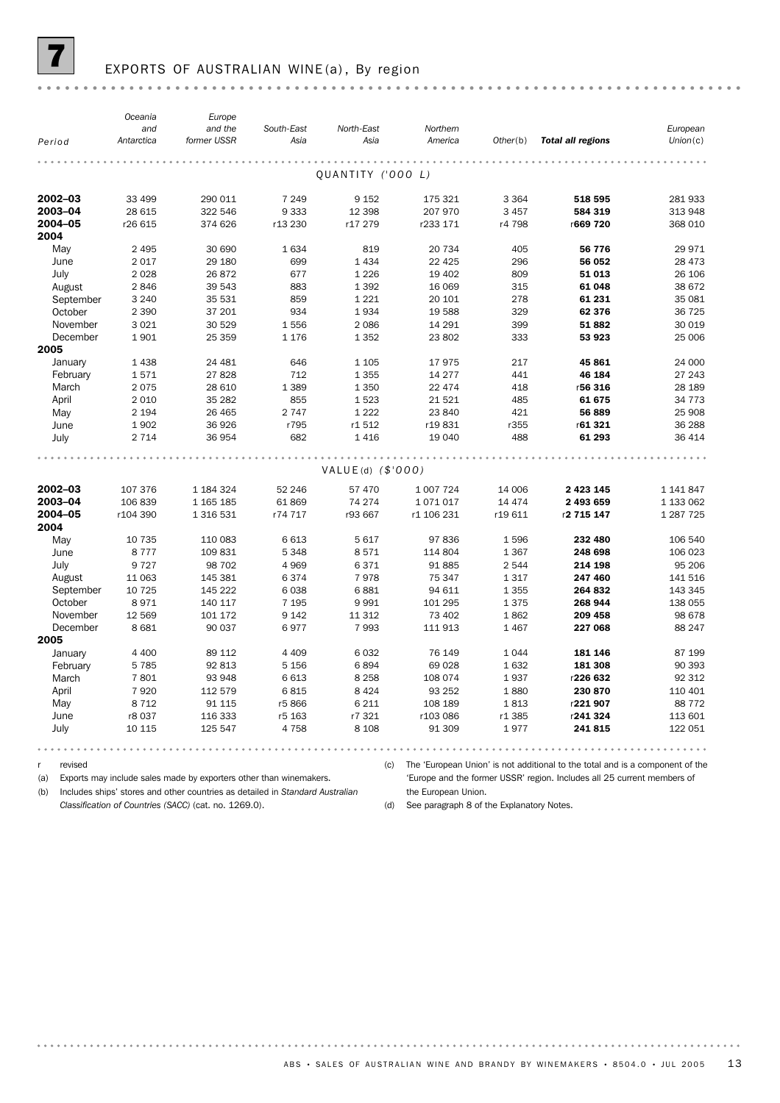

## EXPORTS OF AUSTRALIAN WINE (a), By region

|           | Oceania    | Europe      |            |                     |            |          |                          |            |
|-----------|------------|-------------|------------|---------------------|------------|----------|--------------------------|------------|
|           | and        | and the     | South-East | North-East          | Northern   |          |                          | European   |
| Period    | Antarctica | former USSR | Asia       | Asia                | America    | Other(b) | <b>Total all regions</b> | Union(c)   |
|           |            |             |            |                     |            |          |                          |            |
|           |            |             |            | QUANTITY ('000 L)   |            |          |                          |            |
| 2002-03   | 33 499     | 290 011     | 7 2 4 9    | 9 1 5 2             | 175 321    | 3 3 6 4  | 518 595                  | 281 933    |
| 2003-04   | 28 615     | 322 546     | 9333       | 12 3 98             | 207 970    | 3 4 5 7  | 584 319                  | 313 948    |
| 2004-05   | r26 615    | 374 626     | r13 230    | r17 279             | r233 171   | r4 798   | r669 720                 | 368 010    |
| 2004      |            |             |            |                     |            |          |                          |            |
| May       | 2 4 9 5    | 30 690      | 1634       | 819                 | 20 734     | 405      | 56 776                   | 29 971     |
| June      | 2017       | 29 180      | 699        | 1 4 3 4             | 22 4 25    | 296      | 56 052                   | 28 4 73    |
| July      | 2028       | 26 872      | 677        | 1 2 2 6             | 19 402     | 809      | 51 013                   | 26 106     |
| August    | 2846       | 39 543      | 883        | 1 3 9 2             | 16 069     | 315      | 61 048                   | 38 672     |
| September | 3 2 4 0    | 35 531      | 859        | 1 2 2 1             | 20 10 1    | 278      | 61 231                   | 35 081     |
| October   | 2 3 9 0    | 37 201      | 934        | 1934                | 19 588     | 329      | 62 376                   | 36 725     |
| November  | 3 0 2 1    | 30 529      | 1556       | 2 0 8 6             | 14 29 1    | 399      | 51882                    | 30 019     |
| December  | 1901       | 25 359      | 1 1 7 6    | 1 3 5 2             | 23 802     | 333      | 53 923                   | 25 006     |
| 2005      |            |             |            |                     |            |          |                          |            |
| January   | 1438       | 24 4 8 1    | 646        | 1 1 0 5             | 17975      | 217      | 45861                    | 24 000     |
| February  | 1571       | 27828       | 712        | 1 3 5 5             | 14 277     | 441      | 46 184                   | 27 243     |
| March     | 2075       | 28 610      | 1 3 8 9    | 1 3 5 0             | 22 4 7 4   | 418      | r56 316                  | 28 189     |
| April     | 2 0 1 0    | 35 28 2     | 855        | 1523                | 21 5 21    | 485      | 61 675                   | 34 7 7 3   |
| May       | 2 1 9 4    | 26 4 65     | 2 7 4 7    | 1 2 2 2             | 23 840     | 421      | 56 889                   | 25 908     |
| June      | 1902       | 36 926      | r795       | r1512               | r19831     | r355     | r61 321                  | 36 288     |
| July      | 2 7 1 4    | 36 954      | 682        | 1416                | 19 040     | 488      | 61 293                   | 36 414     |
|           |            |             |            |                     |            |          |                          |            |
|           |            |             |            | $VALUE(d)$ (\$'000) |            |          |                          |            |
| 2002-03   | 107 376    | 1 184 324   | 52 246     | 57 470              | 1 007 724  | 14 006   | 2 4 2 3 1 4 5            | 1 141 847  |
| 2003-04   | 106 839    | 1 165 185   | 61869      | 74 274              | 1071017    | 14 4 7 4 | 2 493 659                | 1 133 062  |
| 2004-05   | r104 390   | 1 316 531   | r74 717    | r93 667             | r1 106 231 | r19 611  | r2 715 147               | 1 287 7 25 |
| 2004      |            |             |            |                     |            |          |                          |            |
| May       | 10 7 35    | 110 083     | 6613       | 5 6 1 7             | 97 836     | 1596     | 232 480                  | 106 540    |
| June      | 8777       | 109 831     | 5348       | 8571                | 114 804    | 1 3 6 7  | 248 698                  | 106 023    |
| July      | 9727       | 98 702      | 4969       | 6371                | 91 885     | 2544     | 214 198                  | 95 206     |
| August    | 11 063     | 145 381     | 6374       | 7978                | 75 347     | 1317     | 247 460                  | 141 516    |
| September | 10 7 25    | 145 222     | 6038       | 6881                | 94 611     | 1 3 5 5  | 264 832                  | 143 345    |
| October   | 8971       | 140 117     | 7 1 9 5    | 9991                | 101 295    | 1375     | 268 944                  | 138 055    |
| November  | 12 5 69    | 101 172     | 9 1 4 2    | 11 312              | 73 402     | 1862     | 209 458                  | 98 678     |
| December  | 8681       | 90 037      | 6977       | 7993                | 111 913    | 1467     | 227 068                  | 88 247     |
| 2005      |            |             |            |                     |            |          |                          |            |
| January   | 4 4 0 0    | 89 112      | 4 4 0 9    | 6032                | 76 149     | 1044     | 181 146                  | 87 199     |
| February  | 5785       | 92 813      | 5 1 5 6    | 6894                | 69 0 28    | 1632     | 181 308                  | 90 393     |
| March     | 7801       | 93 948      | 6613       | 8 2 5 8             | 108 074    | 1937     | r226 632                 | 92 312     |
| April     | 7920       | 112 579     | 6815       | 8 4 2 4             | 93 25 2    | 1880     | 230 870                  | 110 401    |
| May       | 8712       | 91 1 15     | r5866      | 6 2 1 1             | 108 189    | 1813     | r221 907                 | 88 7 72    |
| June      | r8 037     | 116 333     | r5 163     | r7 321              | r103 086   | r1 385   | r241 324                 | 113 601    |
| July      | 10 115     | 125 547     | 4758       | 8 1 0 8             | 91 309     | 1977     | 241815                   | 122 051    |
|           |            |             |            |                     |            |          |                          |            |

r revised

. . . . . . . .

(a) Exports may include sales made by exporters other than winemakers.

(c) The 'European Union' is not additional to the total and is a component of the

(b) Includes ships' stores and other countries as detailed in *Standard Australian*

*Classification of Countries (SACC)* (cat. no. 1269.0).

'Europe and the former USSR' region. Includes all 25 current members of the European Union.

(d) See paragraph 8 of the Explanatory Notes.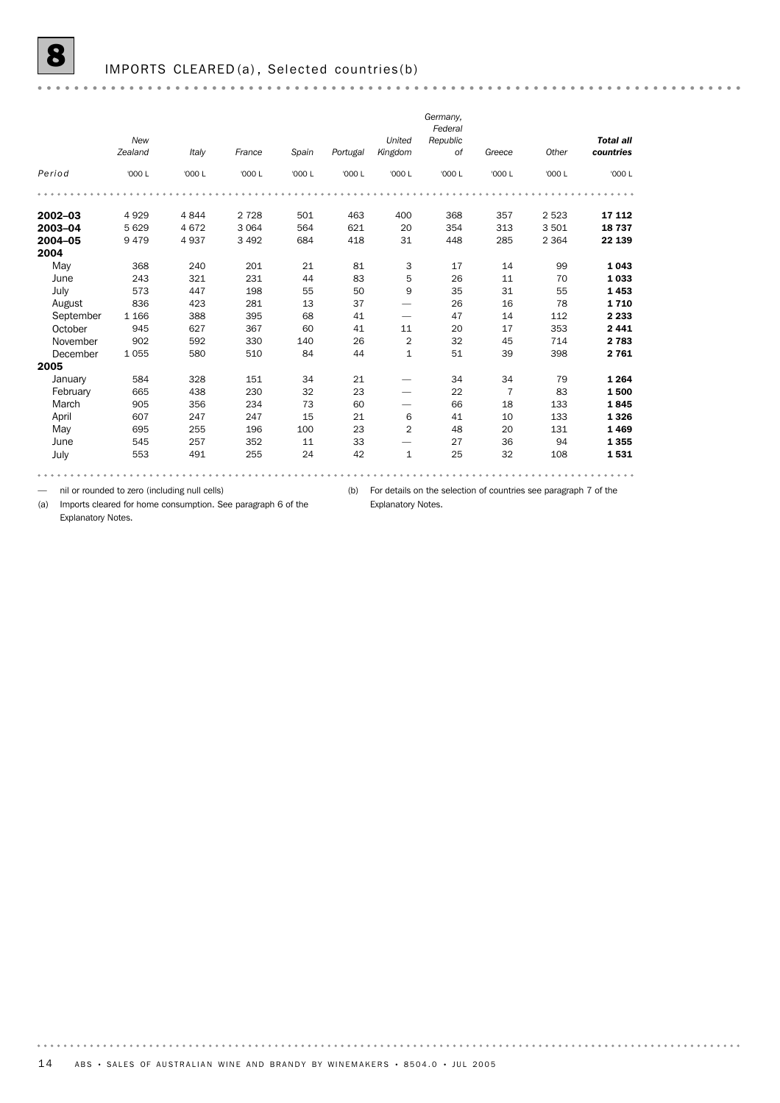## IMPORTS CLEARED(a), Selected countries(b)

|             |         |         |         |        |          |                | Germany, |                |         |                  |
|-------------|---------|---------|---------|--------|----------|----------------|----------|----------------|---------|------------------|
|             |         |         |         |        |          |                | Federal  |                |         |                  |
|             | New     |         |         |        |          | United         | Republic |                |         | <b>Total all</b> |
|             | Zealand | Italy   | France  | Spain  | Portugal | Kingdom        | of       | Greece         | Other   | countries        |
| Period      | '000 L  | '000 L  | '000 L  | '000 L | '000 L   | '000 L         | '000 L   | '000 L         | '000 L  | '000 L           |
|             |         |         |         |        |          |                |          |                |         |                  |
| $2002 - 03$ | 4929    | 4844    | 2 7 2 8 | 501    | 463      | 400            | 368      | 357            | 2 5 2 3 | 17 112           |
| 2003-04     | 5 6 2 9 | 4 6 7 2 | 3 0 6 4 | 564    | 621      | 20             | 354      | 313            | 3501    | 18 737           |
| 2004-05     | 9479    | 4937    | 3 4 9 2 | 684    | 418      | 31             | 448      | 285            | 2 3 6 4 | 22 139           |
| 2004        |         |         |         |        |          |                |          |                |         |                  |
| May         | 368     | 240     | 201     | 21     | 81       | 3              | 17       | 14             | 99      | 1 0 4 3          |
| June        | 243     | 321     | 231     | 44     | 83       | 5              | 26       | 11             | 70      | 1 0 3 3          |
| July        | 573     | 447     | 198     | 55     | 50       | 9              | 35       | 31             | 55      | 1453             |
| August      | 836     | 423     | 281     | 13     | 37       |                | 26       | 16             | 78      | 1710             |
| September   | 1 1 6 6 | 388     | 395     | 68     | 41       |                | 47       | 14             | 112     | 2 2 3 3          |
| October     | 945     | 627     | 367     | 60     | 41       | 11             | 20       | 17             | 353     | 2441             |
| November    | 902     | 592     | 330     | 140    | 26       | 2              | 32       | 45             | 714     | 2 7 8 3          |
| December    | 1055    | 580     | 510     | 84     | 44       | 1              | 51       | 39             | 398     | 2 7 6 1          |
| 2005        |         |         |         |        |          |                |          |                |         |                  |
| January     | 584     | 328     | 151     | 34     | 21       |                | 34       | 34             | 79      | 1 2 6 4          |
| February    | 665     | 438     | 230     | 32     | 23       |                | 22       | $\overline{7}$ | 83      | 1500             |
| March       | 905     | 356     | 234     | 73     | 60       |                | 66       | 18             | 133     | 1845             |
| April       | 607     | 247     | 247     | 15     | 21       | 6              | 41       | 10             | 133     | 1 3 2 6          |
| May         | 695     | 255     | 196     | 100    | 23       | $\overline{2}$ | 48       | 20             | 131     | 1469             |
| June        | 545     | 257     | 352     | 11     | 33       |                | 27       | 36             | 94      | 1 3 5 5          |
| July        | 553     | 491     | 255     | 24     | 42       | $\mathbf{1}$   | 25       | 32             | 108     | 1531             |
|             |         |         |         |        |          |                |          |                |         |                  |

— nil or rounded to zero (including null cells)

(b) For details on the selection of countries see paragraph 7 of the

Explanatory Notes.

(a) Imports cleared for home consumption. See paragraph 6 of the Explanatory Notes.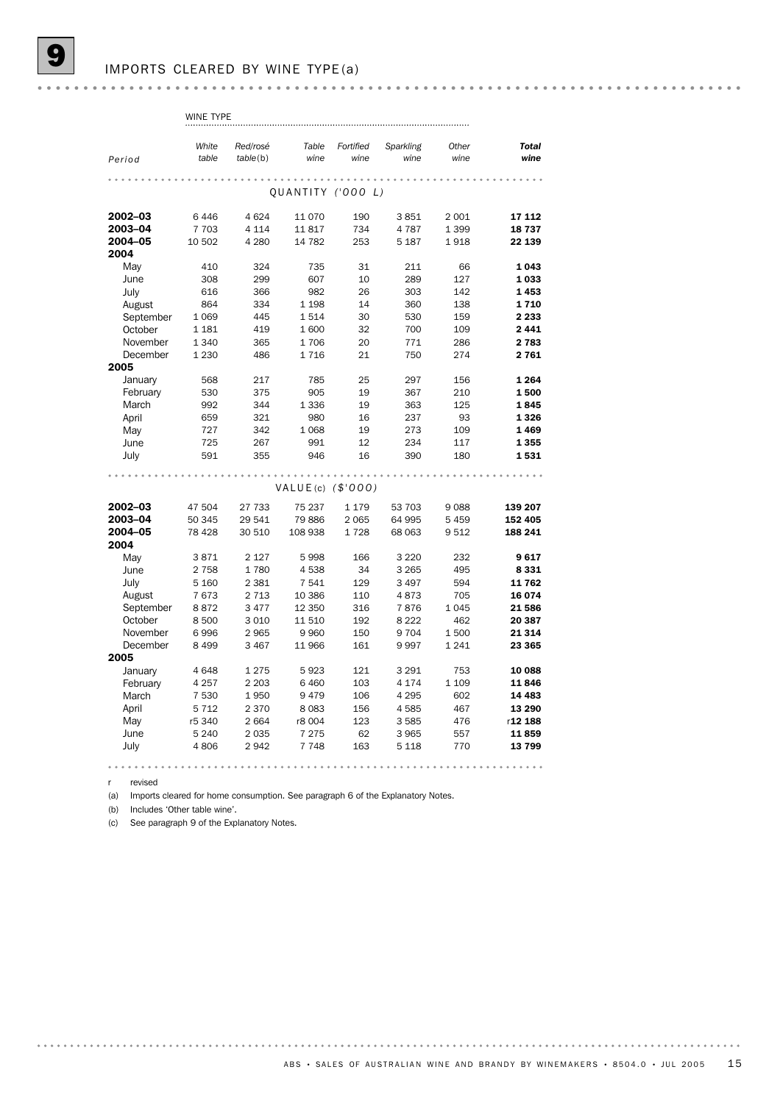|           | WINE TYPE |          |                        |           |           |         |              |
|-----------|-----------|----------|------------------------|-----------|-----------|---------|--------------|
|           |           |          |                        |           |           |         |              |
|           | White     | Red/rosé | Table                  | Fortified | Sparkling | Other   | <b>Total</b> |
| Period    | table     | table(b) | wine                   | wine      | wine      | wine    | wine         |
|           |           |          |                        |           |           |         |              |
|           |           |          | QUANTITY ('OOO L)      |           |           |         |              |
| 2002-03   | 6446      | 4 6 24   | 11 0 70                | 190       | 3851      | 2 0 0 1 | 17 112       |
| 2003-04   | 7 7 0 3   | 4 1 1 4  | 11817                  | 734       | 4787      | 1 3 9 9 | 18737        |
| 2004-05   | 10 502    | 4 2 8 0  | 14 7 8 2               | 253       | 5 1 8 7   | 1918    | 22 139       |
| 2004      |           |          |                        |           |           |         |              |
| May       | 410       | 324      | 735                    | 31        | 211       | 66      | 1 0 4 3      |
| June      | 308       | 299      | 607                    | 10        | 289       | 127     | 1033         |
| July      | 616       | 366      | 982                    | 26        | 303       | 142     | 1453         |
| August    | 864       | 334      | 1 1 9 8                | 14        | 360       | 138     | 1710         |
| September | 1 0 6 9   | 445      | 1514                   | 30        | 530       | 159     | 2 2 3 3      |
| October   | 1 1 8 1   | 419      | 1600                   | 32        | 700       | 109     | 2441         |
| November  | 1 3 4 0   | 365      | 1706                   | 20        | 771       | 286     | 2 7 8 3      |
| December  | 1 2 3 0   | 486      | 1716                   | 21        | 750       | 274     | 2761         |
| 2005      |           |          |                        |           |           |         |              |
| January   | 568       | 217      | 785                    | 25        | 297       | 156     | 1 2 6 4      |
| February  | 530       | 375      | 905                    | 19        | 367       | 210     | 1500         |
| March     | 992       | 344      | 1336                   | 19        | 363       | 125     | 1845         |
| April     | 659       | 321      | 980                    | 16        | 237       | 93      | 1326         |
| May       | 727       | 342      | 1068                   | 19        | 273       | 109     | 1469         |
| June      | 725       | 267      | 991                    | 12        | 234       | 117     | 1 3 5 5      |
| July      | 591       | 355      | 946                    | 16        | 390       | 180     | 1531         |
|           |           |          |                        |           |           |         |              |
|           |           |          | $VALUE(c)$ ( $$'000$ ) |           |           |         |              |
| 2002-03   | 47 504    | 27 733   | 75 237                 | 1 1 7 9   | 53 703    | 9088    | 139 207      |
| 2003-04   | 50 345    | 29 541   | 79886                  | 2 0 6 5   | 64 995    | 5 4 5 9 | 152 405      |
| 2004-05   | 78 4 28   | 30 510   | 108 938                | 1728      | 68 063    | 9512    | 188 241      |
| 2004      |           |          |                        |           |           |         |              |
| May       | 3871      | 2 1 2 7  | 5998                   | 166       | 3 2 2 0   | 232     | 9617         |
| June      | 2 7 5 8   | 1780     | 4538                   | 34        | 3 2 6 5   | 495     | 8331         |
| July      | 5 1 6 0   | 2 3 8 1  | 7541                   | 129       | 3 4 9 7   | 594     | 11762        |
| August    | 7673      | 2 7 1 3  | 10 386                 | 110       | 4873      | 705     | 16 074       |
| September | 8872      | 3 4 7 7  | 12 350                 | 316       | 7876      | 1045    | 21586        |
| October   | 8500      | 3 0 1 0  | 11 510                 | 192       | 8 2 2 2   | 462     | 20 387       |
| November  | 6996      | 2 9 6 5  | 9960                   | 150       | 9704      | 1500    | 21 314       |
| December  | 8 4 9 9   | 3 4 6 7  | 11 966                 | 161       | 9997      | 1 2 4 1 | 23 365       |
| 2005      |           |          |                        |           |           |         |              |
| January   | 4648      | 1 2 7 5  | 5923                   | 121       | 3 2 9 1   | 753     | 10 088       |
| February  | 4 2 5 7   | 2 2 0 3  | 6460                   | 103       | 4 1 7 4   | 1 1 0 9 | 11846        |
| March     | 7 5 3 0   | 1950     | 9479                   | 106       | 4 2 9 5   | 602     | 14 4 8 3     |
| April     | 5712      | 2 3 7 0  | 8083                   | 156       | 4585      | 467     | 13 290       |
| May       | r5 340    | 2 6 6 4  | r8 004                 | 123       | 3585      | 476     | r12 188      |
| June      | 5 2 4 0   | 2 0 3 5  | 7 2 7 5                | 62        | 3 9 6 5   | 557     | 11859        |
| July      | 4806      | 2942     | 7748                   | 163       | 5 1 1 8   | 770     | 13799        |
|           |           |          |                        |           |           |         |              |

r revised

(a) Imports cleared for home consumption. See paragraph 6 of the Explanatory Notes.

(b) Includes 'Other table wine'.

(c) See paragraph 9 of the Explanatory Notes.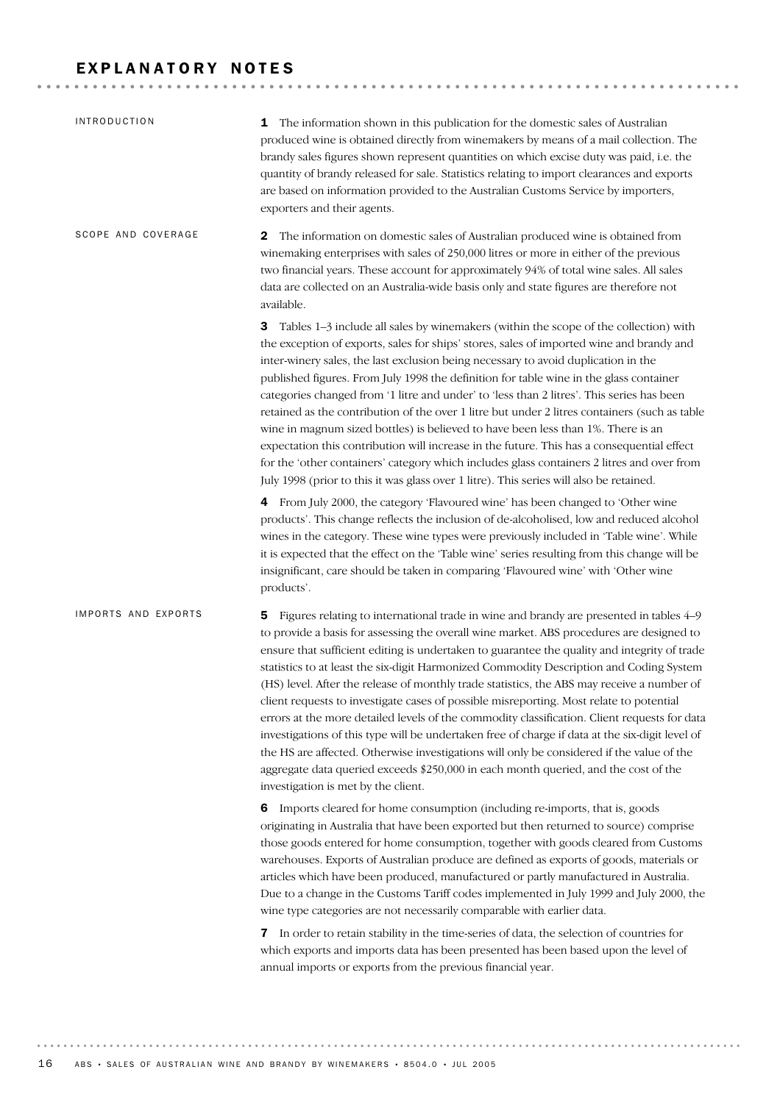## EXPLANATORY NOTES

| <b>INTRODUCTION</b> | The information shown in this publication for the domestic sales of Australian<br>1<br>produced wine is obtained directly from winemakers by means of a mail collection. The<br>brandy sales figures shown represent quantities on which excise duty was paid, i.e. the<br>quantity of brandy released for sale. Statistics relating to import clearances and exports<br>are based on information provided to the Australian Customs Service by importers,<br>exporters and their agents.                                                                                                                                                                                                                                                                                                                                                                                                                                                                                                                 |
|---------------------|-----------------------------------------------------------------------------------------------------------------------------------------------------------------------------------------------------------------------------------------------------------------------------------------------------------------------------------------------------------------------------------------------------------------------------------------------------------------------------------------------------------------------------------------------------------------------------------------------------------------------------------------------------------------------------------------------------------------------------------------------------------------------------------------------------------------------------------------------------------------------------------------------------------------------------------------------------------------------------------------------------------|
| SCOPE AND COVERAGE  | The information on domestic sales of Australian produced wine is obtained from<br>2<br>winemaking enterprises with sales of 250,000 litres or more in either of the previous<br>two financial years. These account for approximately 94% of total wine sales. All sales<br>data are collected on an Australia-wide basis only and state figures are therefore not<br>available.                                                                                                                                                                                                                                                                                                                                                                                                                                                                                                                                                                                                                           |
|                     | Tables 1-3 include all sales by winemakers (within the scope of the collection) with<br>3<br>the exception of exports, sales for ships' stores, sales of imported wine and brandy and<br>inter-winery sales, the last exclusion being necessary to avoid duplication in the<br>published figures. From July 1998 the definition for table wine in the glass container<br>categories changed from '1 litre and under' to 'less than 2 litres'. This series has been<br>retained as the contribution of the over 1 litre but under 2 litres containers (such as table<br>wine in magnum sized bottles) is believed to have been less than 1%. There is an<br>expectation this contribution will increase in the future. This has a consequential effect<br>for the 'other containers' category which includes glass containers 2 litres and over from<br>July 1998 (prior to this it was glass over 1 litre). This series will also be retained.                                                            |
|                     | 4 From July 2000, the category 'Flavoured wine' has been changed to 'Other wine<br>products'. This change reflects the inclusion of de-alcoholised, low and reduced alcohol<br>wines in the category. These wine types were previously included in 'Table wine'. While<br>it is expected that the effect on the 'Table wine' series resulting from this change will be<br>insignificant, care should be taken in comparing 'Flavoured wine' with 'Other wine<br>products'.                                                                                                                                                                                                                                                                                                                                                                                                                                                                                                                                |
| IMPORTS AND EXPORTS | Figures relating to international trade in wine and brandy are presented in tables 4-9<br>5<br>to provide a basis for assessing the overall wine market. ABS procedures are designed to<br>ensure that sufficient editing is undertaken to guarantee the quality and integrity of trade<br>statistics to at least the six-digit Harmonized Commodity Description and Coding System<br>(HS) level. After the release of monthly trade statistics, the ABS may receive a number of<br>client requests to investigate cases of possible misreporting. Most relate to potential<br>errors at the more detailed levels of the commodity classification. Client requests for data<br>investigations of this type will be undertaken free of charge if data at the six-digit level of<br>the HS are affected. Otherwise investigations will only be considered if the value of the<br>aggregate data queried exceeds \$250,000 in each month queried, and the cost of the<br>investigation is met by the client. |
|                     | Imports cleared for home consumption (including re-imports, that is, goods<br>6<br>originating in Australia that have been exported but then returned to source) comprise<br>those goods entered for home consumption, together with goods cleared from Customs<br>warehouses. Exports of Australian produce are defined as exports of goods, materials or<br>articles which have been produced, manufactured or partly manufactured in Australia.<br>Due to a change in the Customs Tariff codes implemented in July 1999 and July 2000, the<br>wine type categories are not necessarily comparable with earlier data.                                                                                                                                                                                                                                                                                                                                                                                   |
|                     | In order to retain stability in the time-series of data, the selection of countries for<br>7<br>which exports and imports data has been presented has been based upon the level of<br>annual imports or exports from the previous financial year.                                                                                                                                                                                                                                                                                                                                                                                                                                                                                                                                                                                                                                                                                                                                                         |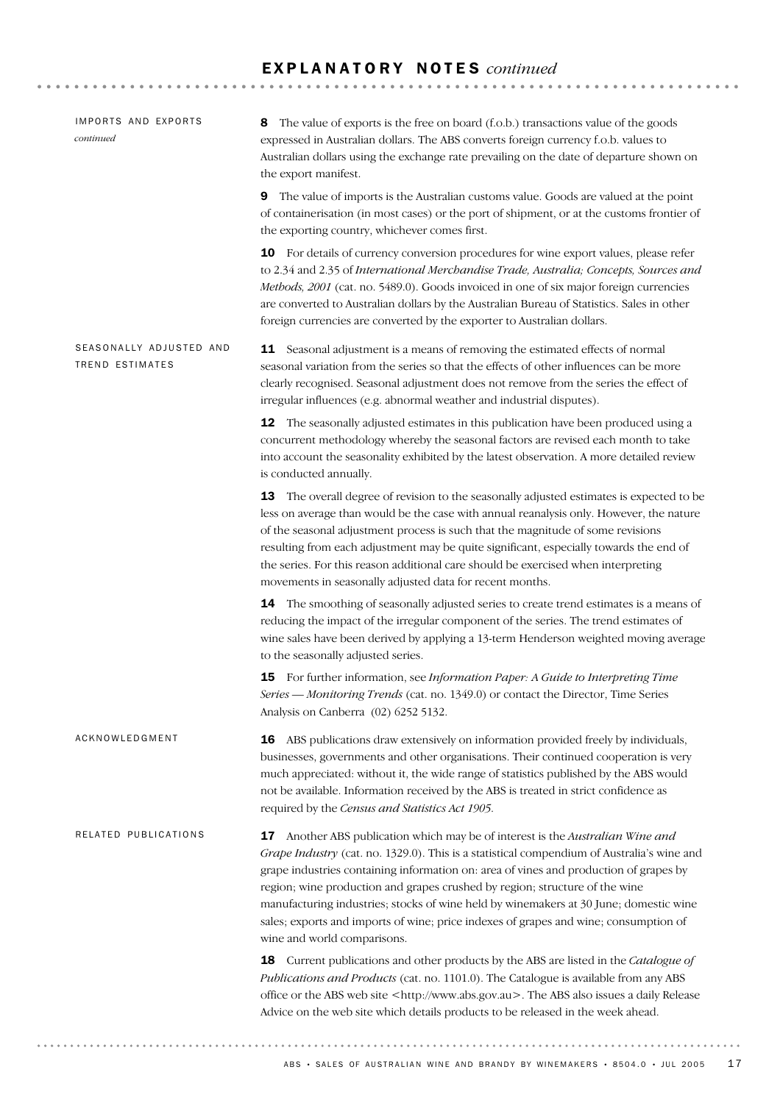## E X P L A N A T O R Y N O T E S *continued*

| IMPORTS AND EXPORTS<br>continued                  | The value of exports is the free on board (f.o.b.) transactions value of the goods<br>8<br>expressed in Australian dollars. The ABS converts foreign currency f.o.b. values to<br>Australian dollars using the exchange rate prevailing on the date of departure shown on<br>the export manifest.                                                                                                                                                                                                                                                                    |
|---------------------------------------------------|----------------------------------------------------------------------------------------------------------------------------------------------------------------------------------------------------------------------------------------------------------------------------------------------------------------------------------------------------------------------------------------------------------------------------------------------------------------------------------------------------------------------------------------------------------------------|
|                                                   | The value of imports is the Australian customs value. Goods are valued at the point<br>9<br>of containerisation (in most cases) or the port of shipment, or at the customs frontier of<br>the exporting country, whichever comes first.                                                                                                                                                                                                                                                                                                                              |
|                                                   | 10 For details of currency conversion procedures for wine export values, please refer<br>to 2.34 and 2.35 of International Merchandise Trade, Australia; Concepts, Sources and<br>Methods, 2001 (cat. no. 5489.0). Goods invoiced in one of six major foreign currencies<br>are converted to Australian dollars by the Australian Bureau of Statistics. Sales in other<br>foreign currencies are converted by the exporter to Australian dollars.                                                                                                                    |
| SEASONALLY ADJUSTED AND<br><b>TREND ESTIMATES</b> | <b>11</b> Seasonal adjustment is a means of removing the estimated effects of normal<br>seasonal variation from the series so that the effects of other influences can be more<br>clearly recognised. Seasonal adjustment does not remove from the series the effect of<br>irregular influences (e.g. abnormal weather and industrial disputes).                                                                                                                                                                                                                     |
|                                                   | <b>12</b> The seasonally adjusted estimates in this publication have been produced using a<br>concurrent methodology whereby the seasonal factors are revised each month to take<br>into account the seasonality exhibited by the latest observation. A more detailed review<br>is conducted annually.                                                                                                                                                                                                                                                               |
|                                                   | 13 The overall degree of revision to the seasonally adjusted estimates is expected to be<br>less on average than would be the case with annual reanalysis only. However, the nature<br>of the seasonal adjustment process is such that the magnitude of some revisions<br>resulting from each adjustment may be quite significant, especially towards the end of<br>the series. For this reason additional care should be exercised when interpreting<br>movements in seasonally adjusted data for recent months.                                                    |
|                                                   | 14 The smoothing of seasonally adjusted series to create trend estimates is a means of<br>reducing the impact of the irregular component of the series. The trend estimates of<br>wine sales have been derived by applying a 13-term Henderson weighted moving average<br>to the seasonally adjusted series.                                                                                                                                                                                                                                                         |
|                                                   | 15 For further information, see Information Paper: A Guide to Interpreting Time<br>Series — Monitoring Trends (cat. no. 1349.0) or contact the Director, Time Series<br>Analysis on Canberra (02) 6252 5132.                                                                                                                                                                                                                                                                                                                                                         |
| ACKNOWLEDGMENT                                    | <b>16</b> ABS publications draw extensively on information provided freely by individuals,<br>businesses, governments and other organisations. Their continued cooperation is very<br>much appreciated: without it, the wide range of statistics published by the ABS would<br>not be available. Information received by the ABS is treated in strict confidence as<br>required by the Census and Statistics Act 1905.                                                                                                                                               |
| RELATED PUBLICATIONS                              | 17 Another ABS publication which may be of interest is the Australian Wine and<br>Grape Industry (cat. no. 1329.0). This is a statistical compendium of Australia's wine and<br>grape industries containing information on: area of vines and production of grapes by<br>region; wine production and grapes crushed by region; structure of the wine<br>manufacturing industries; stocks of wine held by winemakers at 30 June; domestic wine<br>sales; exports and imports of wine; price indexes of grapes and wine; consumption of<br>wine and world comparisons. |
|                                                   | 18 Current publications and other products by the ABS are listed in the Catalogue of<br>Publications and Products (cat. no. 1101.0). The Catalogue is available from any ABS<br>office or the ABS web site <http: www.abs.gov.au="">. The ABS also issues a daily Release<br/>Advice on the web site which details products to be released in the week ahead.</http:>                                                                                                                                                                                                |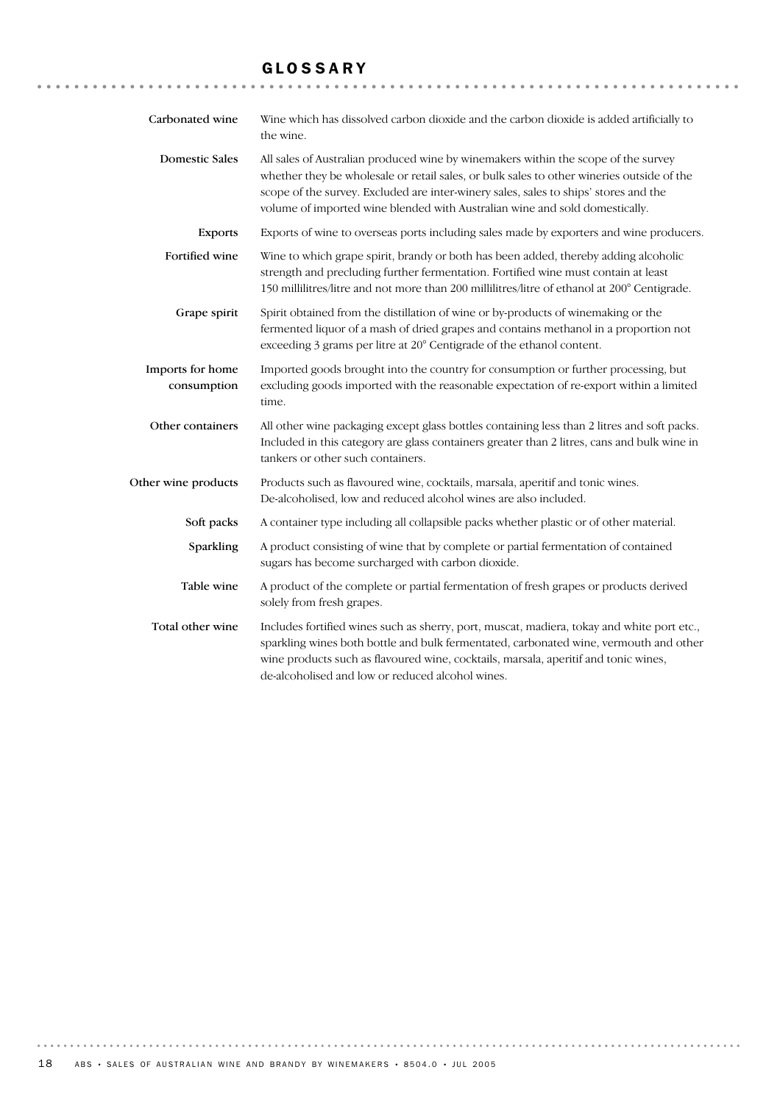## GLOSSARY

| Carbonated wine                 | Wine which has dissolved carbon dioxide and the carbon dioxide is added artificially to<br>the wine.                                                                                                                                                                                                                                                   |
|---------------------------------|--------------------------------------------------------------------------------------------------------------------------------------------------------------------------------------------------------------------------------------------------------------------------------------------------------------------------------------------------------|
| <b>Domestic Sales</b>           | All sales of Australian produced wine by winemakers within the scope of the survey<br>whether they be wholesale or retail sales, or bulk sales to other wineries outside of the<br>scope of the survey. Excluded are inter-winery sales, sales to ships' stores and the<br>volume of imported wine blended with Australian wine and sold domestically. |
| <b>Exports</b>                  | Exports of wine to overseas ports including sales made by exporters and wine producers.                                                                                                                                                                                                                                                                |
| Fortified wine                  | Wine to which grape spirit, brandy or both has been added, thereby adding alcoholic<br>strength and precluding further fermentation. Fortified wine must contain at least<br>150 millilitres/litre and not more than 200 millilitres/litre of ethanol at 200° Centigrade.                                                                              |
| Grape spirit                    | Spirit obtained from the distillation of wine or by-products of winemaking or the<br>fermented liquor of a mash of dried grapes and contains methanol in a proportion not<br>exceeding 3 grams per litre at 20° Centigrade of the ethanol content.                                                                                                     |
| Imports for home<br>consumption | Imported goods brought into the country for consumption or further processing, but<br>excluding goods imported with the reasonable expectation of re-export within a limited<br>time.                                                                                                                                                                  |
| Other containers                | All other wine packaging except glass bottles containing less than 2 litres and soft packs.<br>Included in this category are glass containers greater than 2 litres, cans and bulk wine in<br>tankers or other such containers.                                                                                                                        |
| Other wine products             | Products such as flavoured wine, cocktails, marsala, aperitif and tonic wines.<br>De-alcoholised, low and reduced alcohol wines are also included.                                                                                                                                                                                                     |
| Soft packs                      | A container type including all collapsible packs whether plastic or of other material.                                                                                                                                                                                                                                                                 |
| Sparkling                       | A product consisting of wine that by complete or partial fermentation of contained<br>sugars has become surcharged with carbon dioxide.                                                                                                                                                                                                                |
| Table wine                      | A product of the complete or partial fermentation of fresh grapes or products derived<br>solely from fresh grapes.                                                                                                                                                                                                                                     |
| Total other wine                | Includes fortified wines such as sherry, port, muscat, madiera, tokay and white port etc.,<br>sparkling wines both bottle and bulk fermentated, carbonated wine, vermouth and other<br>wine products such as flavoured wine, cocktails, marsala, aperitif and tonic wines,<br>de-alcoholised and low or reduced alcohol wines.                         |